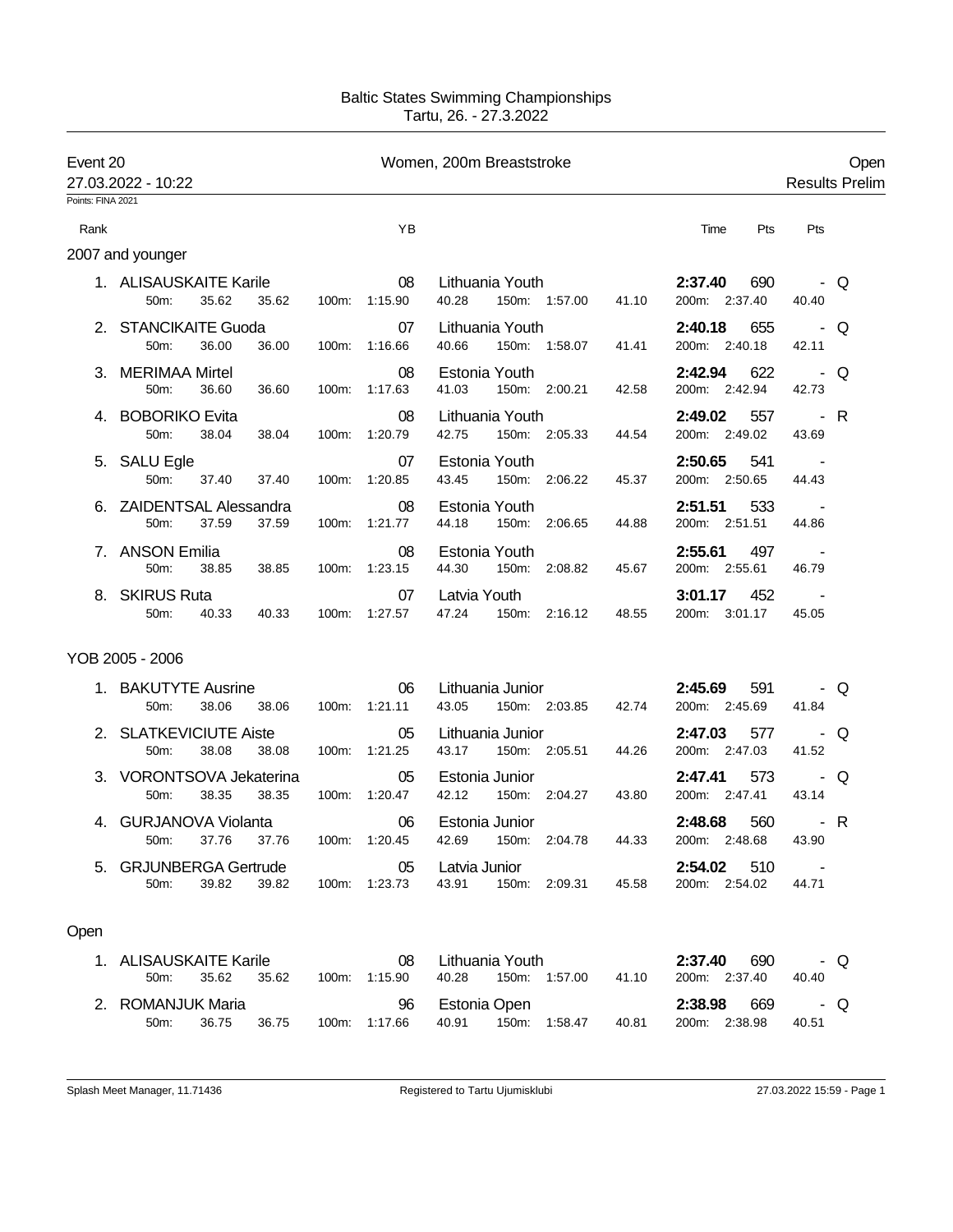## Baltic States Swimming Championships Tartu, 26. - 27.3.2022

| Event 20          | 27.03.2022 - 10:22                                  |               |               | Women, 200m Breaststroke                            |                                     | <b>Results Prelim</b> | Open |
|-------------------|-----------------------------------------------------|---------------|---------------|-----------------------------------------------------|-------------------------------------|-----------------------|------|
| Points: FINA 2021 |                                                     |               |               |                                                     |                                     |                       |      |
| Rank              |                                                     |               | YB            |                                                     | Time<br>Pts                         | Pts                   |      |
|                   | 2007 and younger                                    |               |               |                                                     |                                     |                       |      |
|                   | 1. ALISAUSKAITE Karile<br>35.62<br>35.62<br>50m:    | 100m: 1:15.90 | 08            | Lithuania Youth<br>40.28<br>150m: 1:57.00<br>41.10  | 2:37.40<br>690<br>200m: 2:37.40     | - Q<br>40.40          |      |
|                   | 2. STANCIKAITE Guoda<br>50m:<br>36.00<br>36.00      | 100m: 1:16.66 | 07            | Lithuania Youth<br>40.66<br>150m: 1:58.07<br>41.41  | 655<br>2:40.18<br>200m: 2:40.18     | - Q<br>42.11          |      |
|                   | 3. MERIMAA Mirtel<br>36.60<br>50m:<br>36.60         | 100m: 1:17.63 | 08            | Estonia Youth<br>41.03<br>150m: 2:00.21<br>42.58    | 2:42.94<br>622<br>200m: 2:42.94     | - Q<br>42.73          |      |
|                   | 4. BOBORIKO Evita<br>50m:<br>38.04<br>38.04         | 100m: 1:20.79 | 08            | Lithuania Youth<br>42.75<br>150m: 2:05.33<br>44.54  | 557<br>2:49.02<br>200m: 2:49.02     | - R<br>43.69          |      |
|                   | 5. SALU Egle<br>50 <sub>m</sub> :<br>37.40<br>37.40 | 100m: 1:20.85 | 07            | Estonia Youth<br>43.45<br>150m: 2:06.22<br>45.37    | 2:50.65<br>541<br>200m: 2:50.65     | $\sim 100$<br>44.43   |      |
|                   | 6. ZAIDENTSAL Alessandra<br>50m:<br>37.59<br>37.59  | 100m:         | 08<br>1:21.77 | Estonia Youth<br>44.18<br>150m: 2:06.65<br>44.88    | 2:51.51<br>533<br>200m: 2:51.51     | 44.86                 |      |
|                   | 7. ANSON Emilia<br>50m:<br>38.85<br>38.85           | 100m: 1:23.15 | 08            | Estonia Youth<br>44.30<br>150m: 2:08.82<br>45.67    | 2:55.61<br>497<br>200m: 2:55.61     | 46.79                 |      |
|                   | 8. SKIRUS Ruta<br>50m:<br>40.33<br>40.33            | 100m: 1:27.57 | 07            | Latvia Youth<br>47.24<br>150m: 2:16.12<br>48.55     | 3:01.17<br>452<br>200m: 3:01.17     | 45.05                 |      |
|                   | YOB 2005 - 2006                                     |               |               |                                                     |                                     |                       |      |
|                   | 1. BAKUTYTE Ausrine<br>50m:<br>38.06<br>38.06       | 100m: 1:21.11 | 06            | Lithuania Junior<br>43.05 150m: 2:03.85<br>42.74    | 2:45.69<br>591<br>200m: 2:45.69     | 41.84                 | - Q  |
|                   | 2. SLATKEVICIUTE Aiste<br>50m:<br>38.08<br>38.08    | 100m: 1:21.25 | 05            | Lithuania Junior<br>43.17<br>150m: 2:05.51<br>44.26 | 2:47.03<br>577<br>200m: 2:47.03     | - Q<br>41.52          |      |
|                   | 3. VORONTSOVA Jekaterina<br>50m:<br>38.35<br>38.35  | 100m: 1:20.47 | 05            | Estonia Junior<br>42.12<br>150m: 2:04.27<br>43.80   | 573<br>2:47.41<br>200m: 2:47.41     | - Q<br>43.14          |      |
|                   | 4. GURJANOVA Violanta<br>37.76<br>37.76<br>50m.     | 100m:         | 06<br>1:20.45 | Estonia Junior<br>42.69<br>150m: 2:04.78<br>44.33   | 2:48.68<br>560<br>200m: 2:48.68     | - R<br>43.90          |      |
|                   | 5. GRJUNBERGA Gertrude<br>39.82<br>39.82<br>50m.    | 100m: 1:23.73 | 05            | Latvia Junior<br>43.91<br>150m: 2:09.31<br>45.58    | 2:54.02<br>510<br>200m: 2:54.02     | 44.71                 |      |
| Open              |                                                     |               |               |                                                     |                                     |                       |      |
|                   | 1. ALISAUSKAITE Karile<br>35.62<br>35.62<br>50m:    | 100m: 1:15.90 | 08            | Lithuania Youth<br>40.28<br>150m: 1:57.00<br>41.10  | 2:37.40<br>690<br>200m: 2:37.40     | - Q<br>40.40          |      |
|                   | 2. ROMANJUK Maria<br>50m:<br>36.75<br>36.75         | 100m: 1:17.66 | 96            | Estonia Open<br>40.91<br>150m: 1:58.47<br>40.81     | <b>2:38.98</b> 669<br>200m: 2:38.98 | . Q<br>40.51          |      |